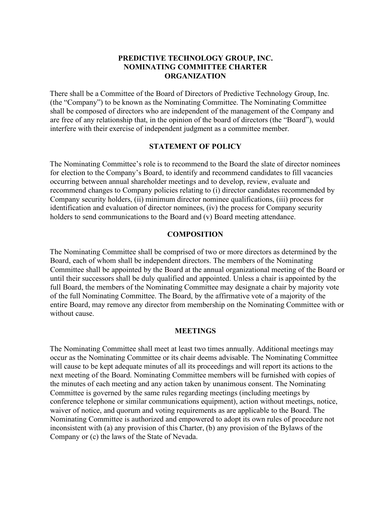# **PREDICTIVE TECHNOLOGY GROUP, INC. NOMINATING COMMITTEE CHARTER ORGANIZATION**

There shall be a Committee of the Board of Directors of Predictive Technology Group, Inc. (the "Company") to be known as the Nominating Committee. The Nominating Committee shall be composed of directors who are independent of the management of the Company and are free of any relationship that, in the opinion of the board of directors (the "Board"), would interfere with their exercise of independent judgment as a committee member.

## **STATEMENT OF POLICY**

The Nominating Committee's role is to recommend to the Board the slate of director nominees for election to the Company's Board, to identify and recommend candidates to fill vacancies occurring between annual shareholder meetings and to develop, review, evaluate and recommend changes to Company policies relating to (i) director candidates recommended by Company security holders, (ii) minimum director nominee qualifications, (iii) process for identification and evaluation of director nominees, (iv) the process for Company security holders to send communications to the Board and (v) Board meeting attendance.

## **COMPOSITION**

The Nominating Committee shall be comprised of two or more directors as determined by the Board, each of whom shall be independent directors. The members of the Nominating Committee shall be appointed by the Board at the annual organizational meeting of the Board or until their successors shall be duly qualified and appointed. Unless a chair is appointed by the full Board, the members of the Nominating Committee may designate a chair by majority vote of the full Nominating Committee. The Board, by the affirmative vote of a majority of the entire Board, may remove any director from membership on the Nominating Committee with or without cause

### **MEETINGS**

The Nominating Committee shall meet at least two times annually. Additional meetings may occur as the Nominating Committee or its chair deems advisable. The Nominating Committee will cause to be kept adequate minutes of all its proceedings and will report its actions to the next meeting of the Board. Nominating Committee members will be furnished with copies of the minutes of each meeting and any action taken by unanimous consent. The Nominating Committee is governed by the same rules regarding meetings (including meetings by conference telephone or similar communications equipment), action without meetings, notice, waiver of notice, and quorum and voting requirements as are applicable to the Board. The Nominating Committee is authorized and empowered to adopt its own rules of procedure not inconsistent with (a) any provision of this Charter, (b) any provision of the Bylaws of the Company or (c) the laws of the State of Nevada.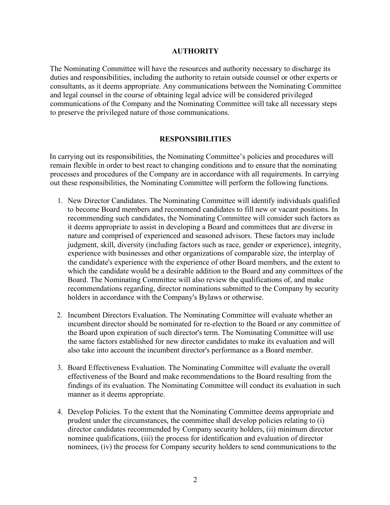# **AUTHORITY**

The Nominating Committee will have the resources and authority necessary to discharge its duties and responsibilities, including the authority to retain outside counsel or other experts or consultants, as it deems appropriate. Any communications between the Nominating Committee and legal counsel in the course of obtaining legal advice will be considered privileged communications of the Company and the Nominating Committee will take all necessary steps to preserve the privileged nature of those communications.

## **RESPONSIBILITIES**

In carrying out its responsibilities, the Nominating Committee's policies and procedures will remain flexible in order to best react to changing conditions and to ensure that the nominating processes and procedures of the Company are in accordance with all requirements. In carrying out these responsibilities, the Nominating Committee will perform the following functions.

- 1. New Director Candidates. The Nominating Committee will identify individuals qualified to become Board members and recommend candidates to fill new or vacant positions. In recommending such candidates, the Nominating Committee will consider such factors as it deems appropriate to assist in developing a Board and committees that are diverse in nature and comprised of experienced and seasoned advisors. These factors may include judgment, skill, diversity (including factors such as race, gender or experience), integrity, experience with businesses and other organizations of comparable size, the interplay of the candidate's experience with the experience of other Board members, and the extent to which the candidate would be a desirable addition to the Board and any committees of the Board. The Nominating Committee will also review the qualifications of, and make recommendations regarding, director nominations submitted to the Company by security holders in accordance with the Company's Bylaws or otherwise.
- 2. Incumbent Directors Evaluation. The Nominating Committee will evaluate whether an incumbent director should be nominated for re-election to the Board or any committee of the Board upon expiration of such director's term. The Nominating Committee will use the same factors established for new director candidates to make its evaluation and will also take into account the incumbent director's performance as a Board member.
- 3. Board Effectiveness Evaluation. The Nominating Committee will evaluate the overall effectiveness of the Board and make recommendations to the Board resulting from the findings of its evaluation. The Nominating Committee will conduct its evaluation in such manner as it deems appropriate.
- 4. Develop Policies. To the extent that the Nominating Committee deems appropriate and prudent under the circumstances, the committee shall develop policies relating to (i) director candidates recommended by Company security holders, (ii) minimum director nominee qualifications, (iii) the process for identification and evaluation of director nominees, (iv) the process for Company security holders to send communications to the